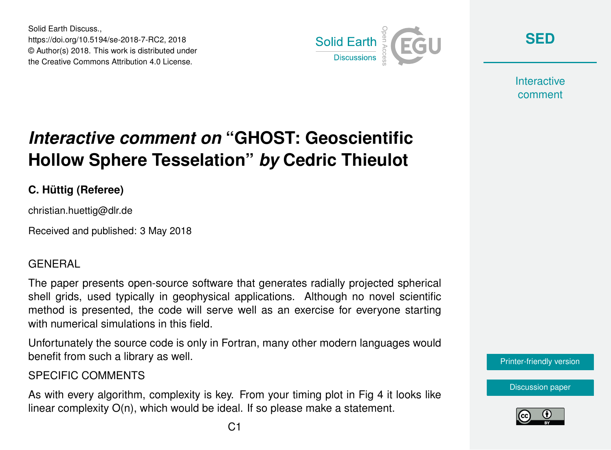Solid Earth Discuss., https://doi.org/10.5194/se-2018-7-RC2, 2018 © Author(s) 2018. This work is distributed under the Creative Commons Attribution 4.0 License.



**[SED](https://www.solid-earth-discuss.net/)**

**Interactive** comment

## *Interactive comment on* **"GHOST: Geoscientific Hollow Sphere Tesselation"** *by* **Cedric Thieulot**

## **C. Hüttig (Referee)**

christian.huettig@dlr.de

Received and published: 3 May 2018

## GENERAL

The paper presents open-source software that generates radially projected spherical shell grids, used typically in geophysical applications. Although no novel scientific method is presented, the code will serve well as an exercise for everyone starting with numerical simulations in this field.

Unfortunately the source code is only in Fortran, many other modern languages would benefit from such a library as well.

SPECIFIC COMMENTS

As with every algorithm, complexity is key. From your timing plot in Fig 4 it looks like linear complexity O(n), which would be ideal. If so please make a statement.



[Discussion paper](https://www.solid-earth-discuss.net/se-2018-7)